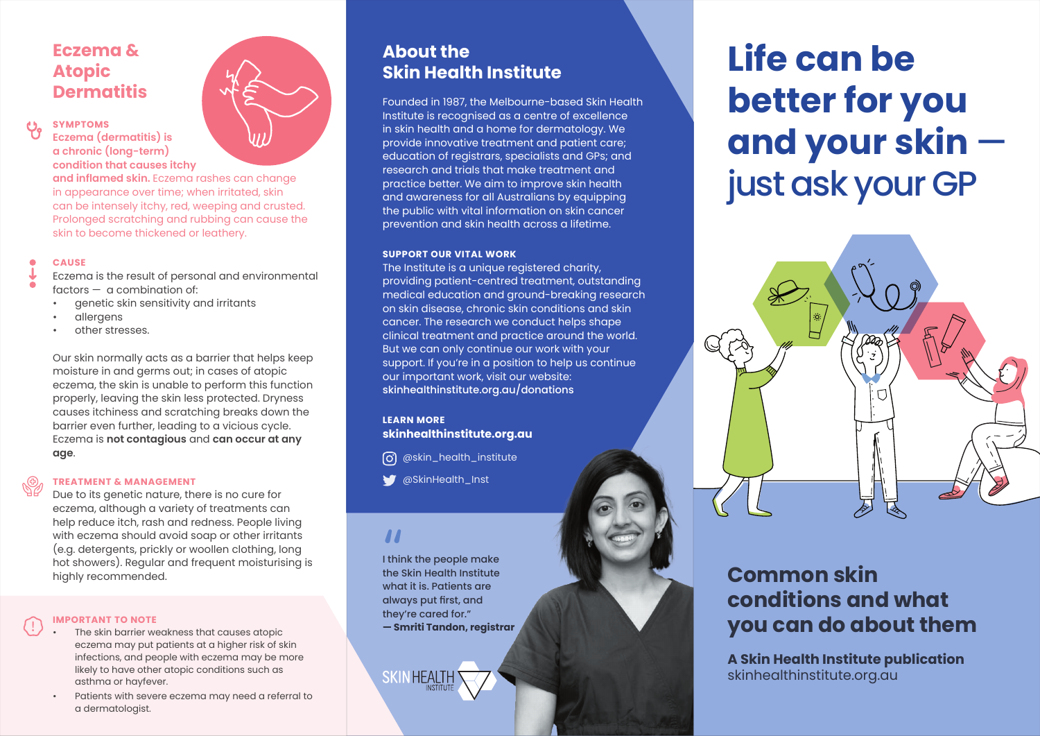# **Eczema & Atopic Dermatitis**

### **SYMPTOMS Eczema (dermatitis) is**

**a chronic (long-term) condition that causes itchy and inflamed skin.** Eczema rashes can change

in appearance over time; when irritated, skin can be intensely itchy, red, weeping and crusted. Prolonged scratching and rubbing can cause the skin to become thickened or leathery.

#### **CAUSE**

Eczema is the result of personal and environmental factors — a combination of:

- genetic skin sensitivity and irritants
- allergens
- other stresses.

Our skin normally acts as a barrier that helps keep moisture in and germs out; in cases of atopic eczema, the skin is unable to perform this function properly, leaving the skin less protected. Dryness causes itchiness and scratching breaks down the barrier even further, leading to a vicious cycle. Eczema is **not contagious** and **can occur at any age**.

#### **TREATMENT & MANAGEMENT**

Due to its genetic nature, there is no cure for eczema, although a variety of treatments can help reduce itch, rash and redness. People living with eczema should avoid soap or other irritants (e.g. detergents, prickly or woollen clothing, long hot showers). Regular and frequent moisturising is highly recommended.

#### **IMPORTANT TO NOTE**

- The skin barrier weakness that causes atopic eczema may put patients at a higher risk of skin infections, and people with eczema may be more likely to have other atopic conditions such as asthma or hayfever.
- Patients with severe eczema may need a referral to a dermatologist.

# **About the Skin Health Institute**

Founded in 1987, the Melbourne-based Skin Health Institute is recognised as a centre of excellence in skin health and a home for dermatology. We provide innovative treatment and patient care; education of registrars, specialists and GPs; and research and trials that make treatment and practice better. We aim to improve skin health and awareness for all Australians by equipping the public with vital information on skin cancer prevention and skin health across a lifetime.

#### **SUPPORT OUR VITAL WORK**

The Institute is a unique registered charity, providing patient-centred treatment, outstanding medical education and ground-breaking research on skin disease, chronic skin conditions and skin cancer. The research we conduct helps shape clinical treatment and practice around the world. But we can only continue our work with your support. If you're in a position to help us continue our important work, visit our website: skinhealthinstitute.org.au/donations

#### **LEARN MORE skinhealthinstitute.org.au**

6 @skin\_health\_institute

@SkinHealth\_Inst

# "

I think the people make the Skin Health Institute what it is. Patients are always put first, and they're cared for." **— Smriti Tandon, registrar**

**SKINHEALTH** 

# **Life can be better for you and your skin**  just ask your GP



# **Common skin conditions and what you can do about them**

**A Skin Health Institute publication** skinhealthinstitute.org.au